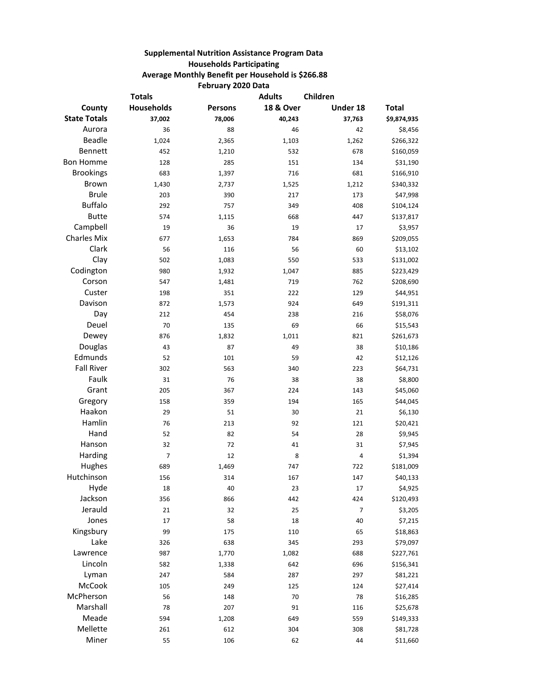## **Supplemental Nutrition Assistance Program Data Households Participating Average Monthly Benefit per Household is \$266.88 February 2020 Data**

| <b>Totals</b>       |                   |                | <b>Adults</b><br>Children |          |              |
|---------------------|-------------------|----------------|---------------------------|----------|--------------|
| County              | <b>Households</b> | <b>Persons</b> | <b>18 &amp; Over</b>      | Under 18 | <b>Total</b> |
| <b>State Totals</b> | 37,002            | 78,006         | 40,243                    | 37,763   | \$9,874,935  |
| Aurora              | 36                | 88             | 46                        | 42       | \$8,456      |
| Beadle              | 1,024             | 2,365          | 1,103                     | 1,262    | \$266,322    |
| Bennett             | 452               | 1,210          | 532                       | 678      | \$160,059    |
| <b>Bon Homme</b>    | 128               | 285            | 151                       | 134      | \$31,190     |
| <b>Brookings</b>    | 683               | 1,397          | 716                       | 681      | \$166,910    |
| Brown               | 1,430             | 2,737          | 1,525                     | 1,212    | \$340,332    |
| <b>Brule</b>        | 203               | 390            | 217                       | 173      | \$47,998     |
| <b>Buffalo</b>      | 292               | 757            | 349                       | 408      | \$104,124    |
| <b>Butte</b>        | 574               | 1,115          | 668                       | 447      | \$137,817    |
| Campbell            | 19                | 36             | 19                        | 17       | \$3,957      |
| <b>Charles Mix</b>  | 677               | 1,653          | 784                       | 869      | \$209,055    |
| Clark               | 56                | 116            | 56                        | 60       | \$13,102     |
| Clay                | 502               | 1,083          | 550                       | 533      | \$131,002    |
| Codington           | 980               | 1,932          | 1,047                     | 885      | \$223,429    |
| Corson              | 547               | 1,481          | 719                       | 762      | \$208,690    |
| Custer              | 198               | 351            | 222                       | 129      | \$44,951     |
| Davison             | 872               | 1,573          | 924                       | 649      | \$191,311    |
| Day                 | 212               | 454            | 238                       | 216      | \$58,076     |
| Deuel               | 70                | 135            | 69                        | 66       | \$15,543     |
| Dewey               | 876               | 1,832          | 1,011                     | 821      | \$261,673    |
| Douglas             | 43                | 87             | 49                        | 38       | \$10,186     |
| Edmunds             | 52                | 101            | 59                        | 42       | \$12,126     |
| <b>Fall River</b>   | 302               | 563            | 340                       | 223      | \$64,731     |
| Faulk               | 31                | 76             | 38                        | 38       | \$8,800      |
| Grant               | 205               | 367            | 224                       | 143      | \$45,060     |
| Gregory             | 158               | 359            | 194                       | 165      | \$44,045     |
| Haakon              | 29                | 51             | 30                        | 21       | \$6,130      |
| Hamlin              | 76                | 213            | 92                        | 121      | \$20,421     |
| Hand                | 52                | 82             | 54                        | 28       | \$9,945      |
| Hanson              | 32                | 72             | 41                        | 31       | \$7,945      |
| Harding             | $\overline{7}$    | 12             | 8                         | 4        | \$1,394      |
| Hughes              | 689               | 1,469          | 747                       | 722      | \$181,009    |
| Hutchinson          | 156               | 314            | 167                       | 147      | \$40,133     |
| Hyde                | 18                | 40             | 23                        | 17       | \$4,925      |
| Jackson             | 356               | 866            | 442                       | 424      | \$120,493    |
| Jerauld             | 21                | 32             | 25                        | 7        | \$3,205      |
| Jones               | 17                | 58             | 18                        | 40       | \$7,215      |
| Kingsbury           | 99                | 175            | 110                       | 65       | \$18,863     |
| Lake                | 326               | 638            | 345                       | 293      | \$79,097     |
| Lawrence            | 987               | 1,770          | 1,082                     | 688      | \$227,761    |
| Lincoln             | 582               | 1,338          | 642                       | 696      | \$156,341    |
| Lyman               | 247               | 584            | 287                       | 297      | \$81,221     |
| McCook              | 105               | 249            | 125                       | 124      | \$27,414     |
| McPherson           | 56                | 148            | 70                        | 78       | \$16,285     |
| Marshall            | 78                | 207            | 91                        | 116      | \$25,678     |
| Meade               | 594               | 1,208          | 649                       | 559      | \$149,333    |
| Mellette            | 261               | 612            | 304                       | 308      | \$81,728     |
| Miner               | 55                | 106            | 62                        | 44       | \$11,660     |
|                     |                   |                |                           |          |              |